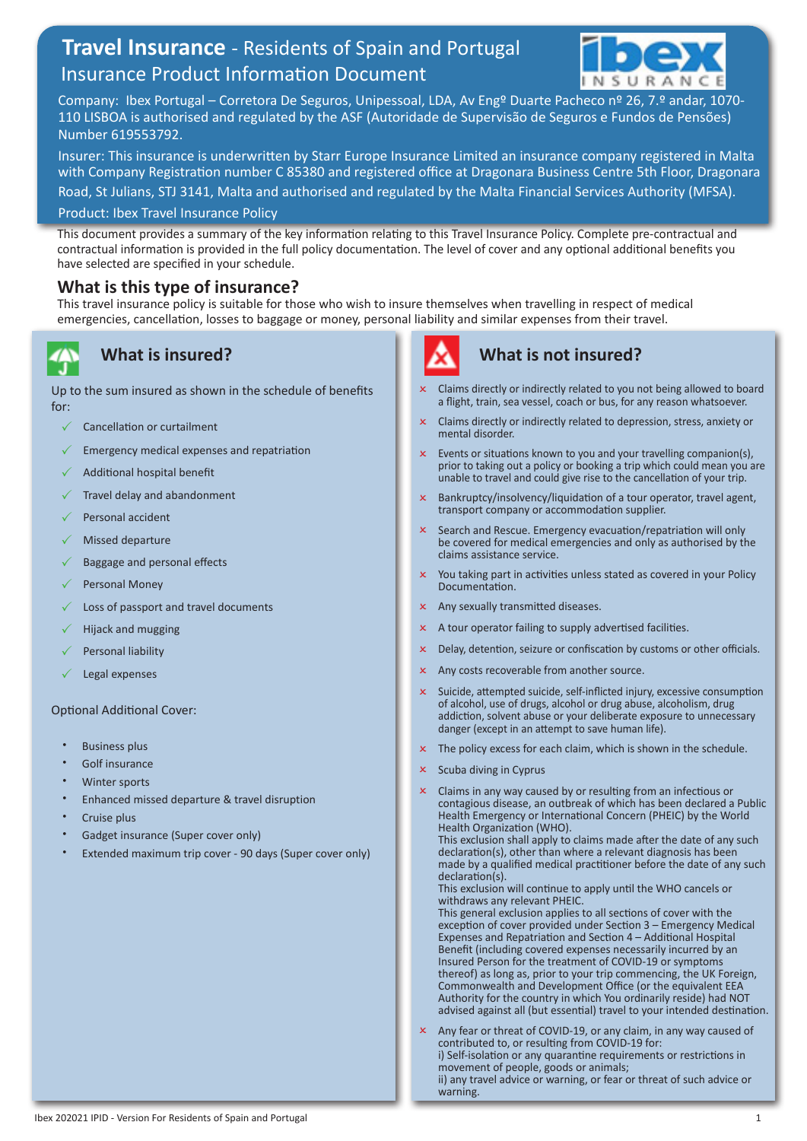# **Travel Insurance** - Residents of Spain and Portugal Insurance Product Information Document



Company: Ibex Portugal – Corretora De Seguros, Unipessoal, LDA, Av Engº Duarte Pacheco nº 26, 7.º andar, 1070- 110 LISBOA is authorised and regulated by the ASF (Autoridade de Supervisão de Seguros e Fundos de Pensões) Number 619553792.

Insurer: This insurance is underwritten by Starr Europe Insurance Limited an insurance company registered in Malta with Company Registration number C 85380 and registered office at Dragonara Business Centre 5th Floor, Dragonara Road, St Julians, STJ 3141, Malta and authorised and regulated by the Malta Financial Services Authority (MFSA).

Product: Ibex Travel Insurance Policy

This document provides a summary of the key information relating to this Travel Insurance Policy. Complete pre-contractual and contractual information is provided in the full policy documentation. The level of cover and any optional additional benefits you have selected are specified in your schedule.

#### **What is this type of insurance?**

This travel insurance policy is suitable for those who wish to insure themselves when travelling in respect of medical emergencies, cancellation, losses to baggage or money, personal liability and similar expenses from their travel.

### **What is insured?**

Up to the sum insured as shown in the schedule of benefits for:

- Cancellation or curtailment
- Emergency medical expenses and repatriation
- Additional hospital benefit
- Travel delay and abandonment
- Personal accident
- Missed departure
- Baggage and personal effects
- Personal Money
- Loss of passport and travel documents
- Hijack and mugging
- Personal liability
- Legal expenses

#### Optional Additional Cover:

- Business plus
- Golf insurance
- Winter sports
- Enhanced missed departure & travel disruption
- Cruise plus
- Gadget insurance (Super cover only)
- Extended maximum trip cover 90 days (Super cover only)



## **What is not insured?**

- Claims directly or indirectly related to you not being allowed to board a flight, train, sea vessel, coach or bus, for any reason whatsoever.
- Claims directly or indirectly related to depression, stress, anxiety or mental disorder.
- $\times$  Events or situations known to you and your travelling companion(s), prior to taking out a policy or booking a trip which could mean you are unable to travel and could give rise to the cancellation of your trip.
- Bankruptcy/insolvency/liquidation of a tour operator, travel agent, transport company or accommodation supplier.
- $\times$  Search and Rescue. Emergency evacuation/repatriation will only be covered for medical emergencies and only as authorised by the claims assistance service.
- You taking part in activities unless stated as covered in your Policy Documentation.
- Any sexually transmitted diseases.
- $\times$  A tour operator failing to supply advertised facilities.
- $\times$  Delay, detention, seizure or confiscation by customs or other officials.
- $\times$  Any costs recoverable from another source.
- Suicide, attempted suicide, self-inflicted injury, excessive consumption of alcohol, use of drugs, alcohol or drug abuse, alcoholism, drug addiction, solvent abuse or your deliberate exposure to unnecessary danger (except in an attempt to save human life).
- $\times$  The policy excess for each claim, which is shown in the schedule.
- $\times$  Scuba diving in Cyprus
- $\times$  Claims in any way caused by or resulting from an infectious or contagious disease, an outbreak of which has been declared a Public Health Emergency or International Concern (PHEIC) by the World Health Organization (WHO). This exclusion shall apply to claims made after the date of any such declaration(s), other than where a relevant diagnosis has been made by a qualified medical practitioner before the date of any such declaration(s). This exclusion will continue to apply until the WHO cancels or withdraws any relevant PHEIC. This general exclusion applies to all sections of cover with the exception of cover provided under Section 3 – Emergency Medical Expenses and Repatriation and Section 4 – Additional Hospital Benefit (including covered expenses necessarily incurred by an

Insured Person for the treatment of COVID-19 or symptoms thereof) as long as, prior to your trip commencing, the UK Foreign, Commonwealth and Development Office (or the equivalent EEA Authority for the country in which You ordinarily reside) had NOT advised against all (but essential) travel to your intended destination.

 Any fear or threat of COVID-19, or any claim, in any way caused of contributed to, or resulting from COVID-19 for: i) Self-isolation or any quarantine requirements or restrictions in movement of people, goods or animals; ii) any travel advice or warning, or fear or threat of such advice or warning.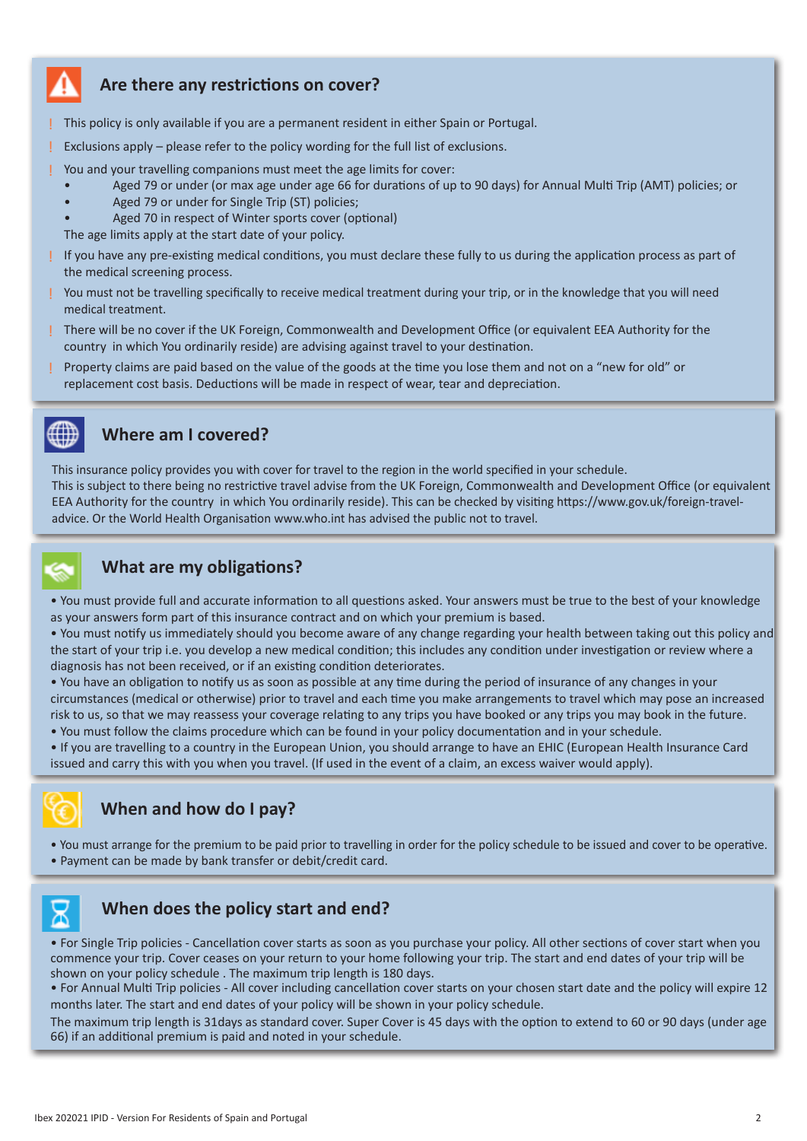

### **Are there any restrictions on cover?**

! This policy is only available if you are a permanent resident in either Spain or Portugal.

Exclusions apply – please refer to the policy wording for the full list of exclusions.

- You and your travelling companions must meet the age limits for cover:
- Aged 79 or under (or max age under age 66 for durations of up to 90 days) for Annual Multi Trip (AMT) policies; or
- Aged 79 or under for Single Trip (ST) policies;
- Aged 70 in respect of Winter sports cover (optional)
- The age limits apply at the start date of your policy.
- ! If you have any pre-existing medical conditions, you must declare these fully to us during the application process as part of the medical screening process.
- ! You must not be travelling specifically to receive medical treatment during your trip, or in the knowledge that you will need medical treatment.
- ! There will be no cover if the UK Foreign, Commonwealth and Development Office (or equivalent EEA Authority for the country in which You ordinarily reside) are advising against travel to your destination.
- ! Property claims are paid based on the value of the goods at the time you lose them and not on a "new for old" or replacement cost basis. Deductions will be made in respect of wear, tear and depreciation.



#### **Where am I covered?**

This insurance policy provides you with cover for travel to the region in the world specified in your schedule. This is subject to there being no restrictive travel advise from the UK Foreign, Commonwealth and Development Office (or equivalent EEA Authority for the country in which You ordinarily reside). This can be checked by visiting https://www.gov.uk/foreign-traveladvice. Or the World Health Organisation www.who.int has advised the public not to travel.



## **What are my obligations?**

- You must provide full and accurate information to all questions asked. Your answers must be true to the best of your knowledge as your answers form part of this insurance contract and on which your premium is based.
- You must notify us immediately should you become aware of any change regarding your health between taking out this policy and the start of your trip i.e. you develop a new medical condition; this includes any condition under investigation or review where a diagnosis has not been received, or if an existing condition deteriorates.
- You have an obligation to notify us as soon as possible at any time during the period of insurance of any changes in your circumstances (medical or otherwise) prior to travel and each time you make arrangements to travel which may pose an increased risk to us, so that we may reassess your coverage relating to any trips you have booked or any trips you may book in the future. • You must follow the claims procedure which can be found in your policy documentation and in your schedule.
- If you are travelling to a country in the European Union, you should arrange to have an EHIC (European Health Insurance Card issued and carry this with you when you travel. (If used in the event of a claim, an excess waiver would apply).

# **When and how do I pay?**

• You must arrange for the premium to be paid prior to travelling in order for the policy schedule to be issued and cover to be operative. • Payment can be made by bank transfer or debit/credit card.



## **When does the policy start and end?**

• For Single Trip policies - Cancellation cover starts as soon as you purchase your policy. All other sections of cover start when you commence your trip. Cover ceases on your return to your home following your trip. The start and end dates of your trip will be shown on your policy schedule . The maximum trip length is 180 days.

• For Annual Multi Trip policies - All cover including cancellation cover starts on your chosen start date and the policy will expire 12 months later. The start and end dates of your policy will be shown in your policy schedule.

The maximum trip length is 31days as standard cover. Super Cover is 45 days with the option to extend to 60 or 90 days (under age 66) if an additional premium is paid and noted in your schedule.